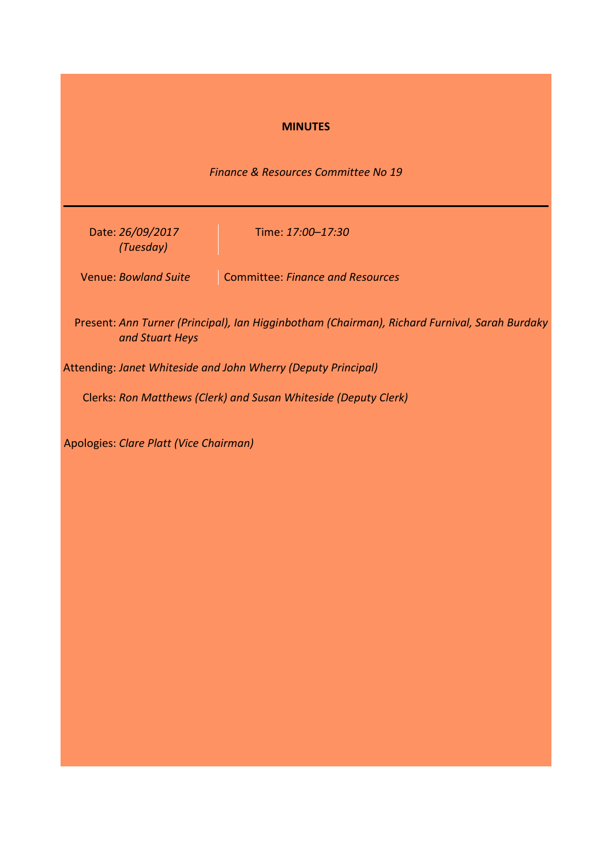# **MINUTES**

*Finance & Resources Committee No 19*

Date: *26/09/2017 (Tuesday)*

Time: *17:00–17:30*

Venue: *Bowland Suite* Committee: *Finance and Resources*

Present: *Ann Turner (Principal), Ian Higginbotham (Chairman), Richard Furnival, Sarah Burdaky and Stuart Heys*

Attending: *Janet Whiteside and John Wherry (Deputy Principal)*

Clerks: *Ron Matthews (Clerk) and Susan Whiteside (Deputy Clerk)*

Apologies: *Clare Platt (Vice Chairman)*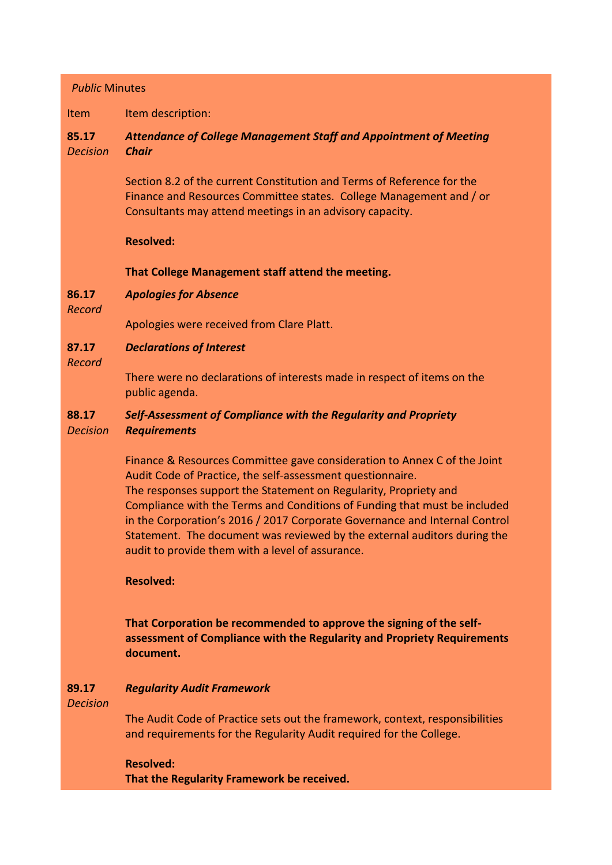# *Public* Minutes

Item Item description:

### **85.17** *Decision Attendance of College Management Staff and Appointment of Meeting Chair*

Section 8.2 of the current Constitution and Terms of Reference for the Finance and Resources Committee states. College Management and / or Consultants may attend meetings in an advisory capacity.

## **Resolved:**

**That College Management staff attend the meeting.**

### **86.17** *Apologies for Absence*

*Record*

Apologies were received from Clare Platt.

### **87.17** *Declarations of Interest*

*Record*

There were no declarations of interests made in respect of items on the public agenda.

### **88.17** *Self-Assessment of Compliance with the Regularity and Propriety*

*Decision Requirements*

> Finance & Resources Committee gave consideration to Annex C of the Joint Audit Code of Practice, the self-assessment questionnaire. The responses support the Statement on Regularity, Propriety and Compliance with the Terms and Conditions of Funding that must be included in the Corporation's 2016 / 2017 Corporate Governance and Internal Control Statement. The document was reviewed by the external auditors during the audit to provide them with a level of assurance.

# **Resolved:**

**That Corporation be recommended to approve the signing of the selfassessment of Compliance with the Regularity and Propriety Requirements document.** 

### **89.17** *Regularity Audit Framework*

*Decision*

The Audit Code of Practice sets out the framework, context, responsibilities and requirements for the Regularity Audit required for the College.

**Resolved: That the Regularity Framework be received.**